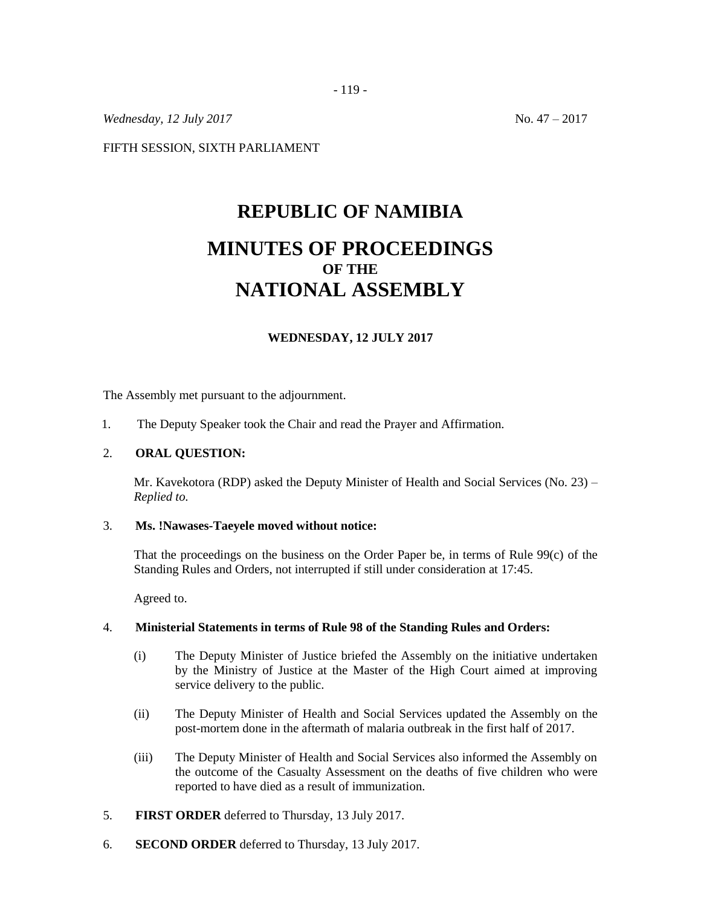- 119 -

*Wednesday,* 12 *July* 2017 **No. 47** – 2017

FIFTH SESSION, SIXTH PARLIAMENT

# **REPUBLIC OF NAMIBIA MINUTES OF PROCEEDINGS OF THE NATIONAL ASSEMBLY**

# **WEDNESDAY, 12 JULY 2017**

The Assembly met pursuant to the adjournment.

1. The Deputy Speaker took the Chair and read the Prayer and Affirmation.

#### 2. **ORAL QUESTION:**

Mr. Kavekotora (RDP) asked the Deputy Minister of Health and Social Services (No. 23) – *Replied to.*

#### 3. **Ms. !Nawases-Taeyele moved without notice:**

That the proceedings on the business on the Order Paper be, in terms of Rule 99(c) of the Standing Rules and Orders, not interrupted if still under consideration at 17:45.

Agreed to.

#### 4. **Ministerial Statements in terms of Rule 98 of the Standing Rules and Orders:**

- (i) The Deputy Minister of Justice briefed the Assembly on the initiative undertaken by the Ministry of Justice at the Master of the High Court aimed at improving service delivery to the public.
- (ii) The Deputy Minister of Health and Social Services updated the Assembly on the post-mortem done in the aftermath of malaria outbreak in the first half of 2017.
- (iii) The Deputy Minister of Health and Social Services also informed the Assembly on the outcome of the Casualty Assessment on the deaths of five children who were reported to have died as a result of immunization.
- 5. **FIRST ORDER** deferred to Thursday, 13 July 2017.
- 6. **SECOND ORDER** deferred to Thursday, 13 July 2017.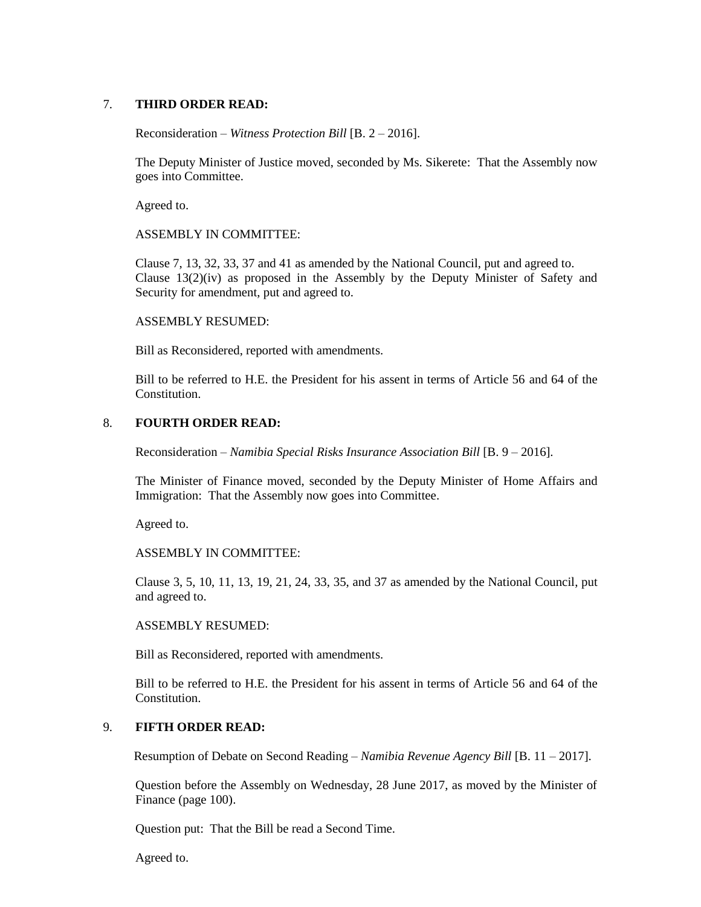# 7. **THIRD ORDER READ:**

Reconsideration – *Witness Protection Bill* [B. 2 – 2016].

The Deputy Minister of Justice moved, seconded by Ms. Sikerete: That the Assembly now goes into Committee.

Agreed to.

ASSEMBLY IN COMMITTEE:

Clause 7, 13, 32, 33, 37 and 41 as amended by the National Council, put and agreed to. Clause 13(2)(iv) as proposed in the Assembly by the Deputy Minister of Safety and Security for amendment, put and agreed to.

ASSEMBLY RESUMED:

Bill as Reconsidered, reported with amendments.

Bill to be referred to H.E. the President for his assent in terms of Article 56 and 64 of the Constitution.

## 8. **FOURTH ORDER READ:**

Reconsideration – *Namibia Special Risks Insurance Association Bill* [B. 9 – 2016].

The Minister of Finance moved, seconded by the Deputy Minister of Home Affairs and Immigration: That the Assembly now goes into Committee.

Agreed to.

#### ASSEMBLY IN COMMITTEE:

Clause 3, 5, 10, 11, 13, 19, 21, 24, 33, 35, and 37 as amended by the National Council, put and agreed to.

#### ASSEMBLY RESUMED:

Bill as Reconsidered, reported with amendments.

Bill to be referred to H.E. the President for his assent in terms of Article 56 and 64 of the Constitution.

# 9. **FIFTH ORDER READ:**

Resumption of Debate on Second Reading – *Namibia Revenue Agency Bill* [B. 11 – 2017].

Question before the Assembly on Wednesday, 28 June 2017, as moved by the Minister of Finance (page 100).

Question put: That the Bill be read a Second Time.

Agreed to.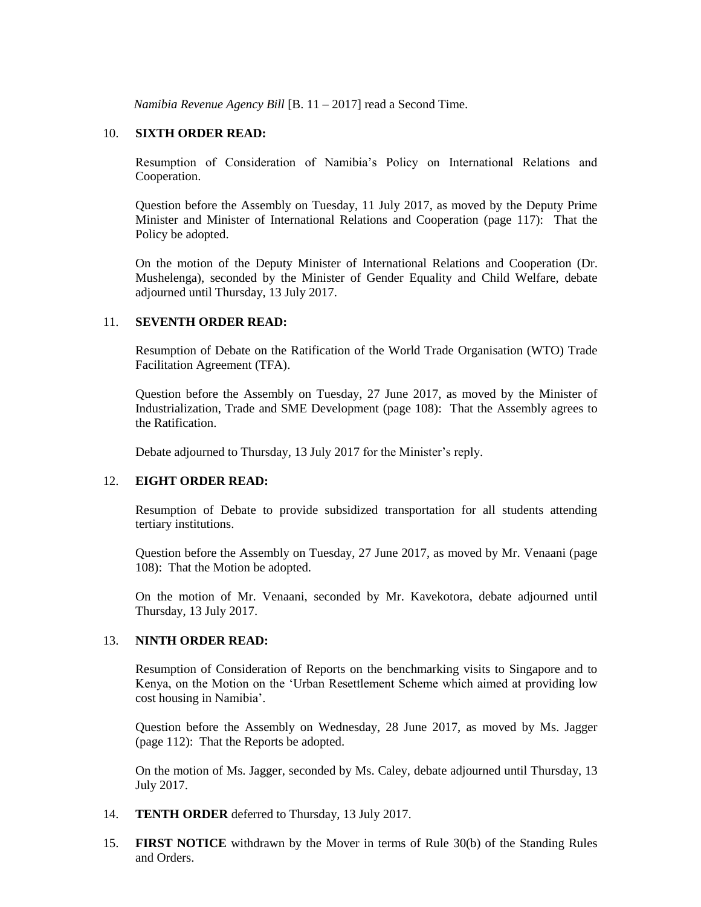*Namibia Revenue Agency Bill* [B. 11 – 2017] read a Second Time.

### 10. **SIXTH ORDER READ:**

Resumption of Consideration of Namibia's Policy on International Relations and Cooperation.

Question before the Assembly on Tuesday, 11 July 2017, as moved by the Deputy Prime Minister and Minister of International Relations and Cooperation (page 117): That the Policy be adopted.

On the motion of the Deputy Minister of International Relations and Cooperation (Dr. Mushelenga), seconded by the Minister of Gender Equality and Child Welfare, debate adjourned until Thursday, 13 July 2017.

## 11. **SEVENTH ORDER READ:**

Resumption of Debate on the Ratification of the World Trade Organisation (WTO) Trade Facilitation Agreement (TFA).

Question before the Assembly on Tuesday, 27 June 2017, as moved by the Minister of Industrialization, Trade and SME Development (page 108): That the Assembly agrees to the Ratification.

Debate adjourned to Thursday, 13 July 2017 for the Minister's reply.

#### 12. **EIGHT ORDER READ:**

Resumption of Debate to provide subsidized transportation for all students attending tertiary institutions.

Question before the Assembly on Tuesday, 27 June 2017, as moved by Mr. Venaani (page 108): That the Motion be adopted.

On the motion of Mr. Venaani, seconded by Mr. Kavekotora, debate adjourned until Thursday, 13 July 2017.

#### 13. **NINTH ORDER READ:**

Resumption of Consideration of Reports on the benchmarking visits to Singapore and to Kenya, on the Motion on the 'Urban Resettlement Scheme which aimed at providing low cost housing in Namibia'.

Question before the Assembly on Wednesday, 28 June 2017, as moved by Ms. Jagger (page 112): That the Reports be adopted.

On the motion of Ms. Jagger, seconded by Ms. Caley, debate adjourned until Thursday, 13 July 2017.

- 14. **TENTH ORDER** deferred to Thursday, 13 July 2017.
- 15. **FIRST NOTICE** withdrawn by the Mover in terms of Rule 30(b) of the Standing Rules and Orders.